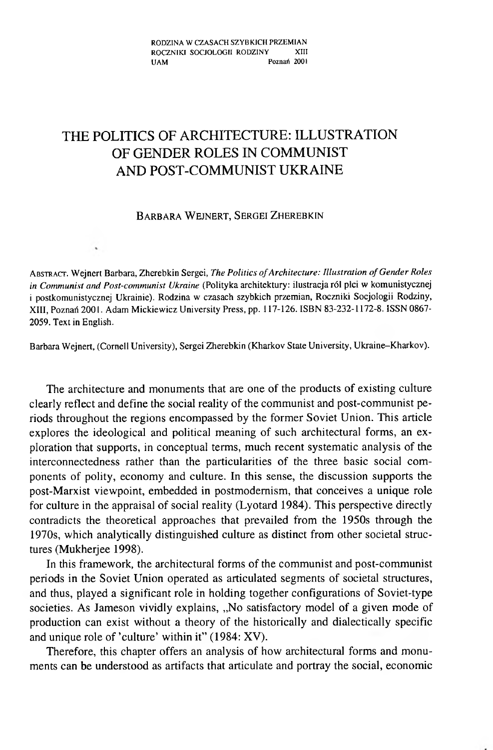# THE POLITICS OF ARCHITECTURE: ILLUSTRATION OF GENDER ROLES IN COMMUNIST AND POST-COMMUNIST UKRAINE

#### BARBARA WEJNERT, SERGEI ZHEREBKIN

ABSTRACT. Wejnert Barbara, Zherebkin Sergei, *The Politics of Architecture: Illustration of Gender Roles in Communist and Post-communist Ukraine* (Polityka architektury: ilustracja ról pici w komunistycznej i postkomunistycznej Ukrainie). Rodzina w czasach szybkich przemian, Roczniki Socjologii Rodziny, XIII, Poznań 2001. Adam Mickiewicz University Press, pp. 117-126. ISBN 83-232-1172-8. ISSN 0867- 2059. Text in English.

Barbara Wejnert, (Cornell University), Sergei Zherebkin (Kharkov State University, Ukraine-Kharkov).

The architecture and monuments that are one of the products of existing culture clearly reflect and define the social reality of the communist and post-communist periods throughout the regions encompassed by the former Soviet Union. This article explores the ideological and political meaning of such architectural forms, an exploration that supports, in conceptual terms, much recent systematic analysis of the interconnectedness rather than the particularities of the three basic social components of polity, economy and culture. In this sense, the discussion supports the post-Marxist viewpoint, embedded in postmodernism, that conceives a unique role for culture in the appraisal of social reality (Lyotard 1984). This perspective directly contradicts the theoretical approaches that prevailed from the 1950s through the 1970s, which analytically distinguished culture as distinct from other societal structures (Mukheriee 1998).

In this framework, the architectural forms of the communist and post-communist periods in the Soviet Union operated as articulated segments of societal structures, and thus, played a significant role in holding together configurations of Soviet-type societies. As Jameson vividly explains, ..No satisfactory model of a given mode of production can exist without a theory of the historically and dialectically specific and unique role of 'culture' within it" (1984: XV).

Therefore, this chapter offers an analysis of how architectural forms and monuments can be understood as artifacts that articulate and portray the social, economic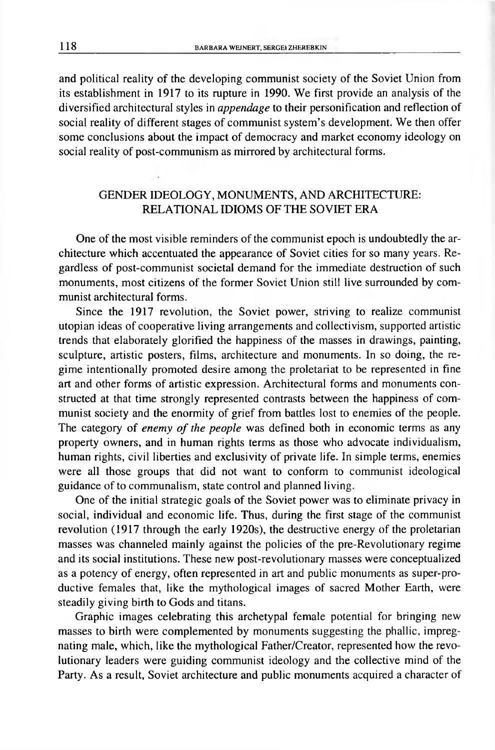and political reality of the developing communist society of the Soviet Union from its establishment in 1917 to its rupture in 1990. We first provide an analysis of the diversified architectural styles in *appendage* to their personification and reflection of social reality of different stages of communist system's development. We then offer some conclusions about the impact of democracy and market economy ideology on social reality of post-communism as mirrored by architectural forms.

## GENDER IDEOLOGY, MONUMENTS, AND ARCHITECTURE: RELATIONAL IDIOMS OF THE SOVIET ERA

One of the most visible reminders of the communist epoch is undoubtedly the architecture which accentuated the appearance of Soviet cities for so many years. Regardless of post-communist societal demand for the immediate destruction of such monuments, most citizens of the former Soviet Union still live surrounded by communist architectural forms.

Since the 1917 revolution, the Soviet power, striving to realize communist utopian ideas of cooperative living arrangements and collectivism, supported artistic trends that elaborately glorified the happiness of the masses in drawings, painting, sculpture, artistic posters, films, architecture and monuments. In so doing, the regime intentionally promoted desire among the proletariat to be represented in fine art and other forms of artistic expression. Architectural forms and monuments constructed at that time strongly represented contrasts between the happiness of communist society and the enormity of grief from battles lost to enemies of the people. The category of *enemy of the people* was defined both in economic terms as any property owners, and in human rights terms as those who advocate individualism, human rights, civil liberties and exclusivity of private life. In simple terms, enemies were all those groups that did not want to conform to communist ideological guidance of to communalism, state control and planned living.

One of the initial strategic goals of the Soviet power was to eliminate privacy in social, individual and economic life. Thus, during the first stage of the communist revolution (1917 through the early 1920s), the destructive energy of the proletarian masses was channeled mainly against the policies of the pre-Revolutionary regime and its social institutions. These new post-revolutionary masses were conceptualized as a potency of energy, often represented in art and public monuments as super-productive females that, like the mythological images of sacred Mother Earth, were steadily giving birth to Gods and titans.

Graphic images celebrating this archetypal female potential for bringing new masses to birth were complemented by monuments suggesting the phallic, impregnating male, which, like the mythological Father/Creator, represented how the revolutionary leaders were guiding communist ideology and the collective mind of the Party. As a result, Soviet architecture and public monuments acquired a character of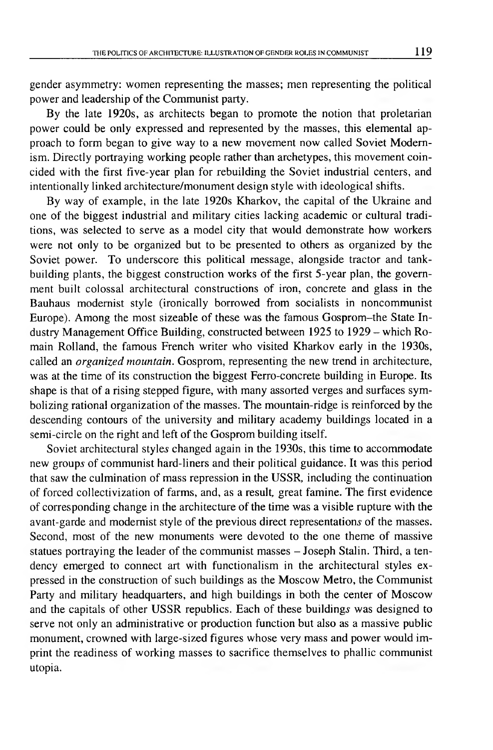gender asymmetry: women representing the masses; men representing the political power and leadership of the Communist party.

By the late 1920s, as architects began to promote the notion that proletarian power could be only expressed and represented by the masses, this elemental approach to form began to give way to a new movement now called Soviet Modernism. Directly portraying working people rather than archetypes, this movement coincided with the first five-year plan for rebuilding the Soviet industrial centers, and intentionally linked architecture/monument design style with ideological shifts.

By way of example, in the late 1920s Kharkov, the capital of the Ukraine and one of the biggest industrial and military cities lacking academic or cultural traditions, was selected to serve as a model city that would demonstrate how workers were not only to be organized but to be presented to others as organized by the Soviet power. To underscore this political message, alongside tractor and tankbuilding plants, the biggest construction works of the first 5-year plan, the government built colossal architectural constructions of iron, concrete and glass in the Bauhaus modernist style (ironically borrowed from socialists in noncommunist Europe). Among the most sizeable of these was the famous Gosprom-the State Industry Management Office Building, constructed between 1925 to 1929 - which Romain Rolland, the famous French writer who visited Kharkov early in the 1930s, called an *organized mountain.* Gosprom, representing the new trend in architecture, was at the time of its construction the biggest Ferro-concrete building in Europe. Its shape is that of a rising stepped figure, with many assorted verges and surfaces symbolizing rational organization of the masses. The mountain-ridge is reinforced by the descending contours of the university and military academy buildings located in a semi-circle on the right and left of the Gosprom building itself.

Soviet architectural styles changed again in the 1930s, this time to accommodate new groups of communist hard-liners and their political guidance. It was this period that saw the culmination of mass repression in the USSR, including the continuation of forced collectivization of farms, and, as a result, great famine. The first evidence of corresponding change in the architecture of the time was a visible rupture with the avant-garde and modernist style of the previous direct representations of the masses. Second, most of the new monuments were devoted to the one theme of massive statues portraying the leader of the communist masses – Joseph Stalin. Third, a tendency emerged to connect art with functionalism in the architectural styles expressed in the construction of such buildings as the Moscow Metro, the Communist Party and military headquarters, and high buildings in both the center of Moscow and the capitals of other USSR republics. Each of these buildings was designed to serve not only an administrative or production function but also as a massive public monument, crowned with large-sized figures whose very mass and power would imprint the readiness of working masses to sacrifice themselves to phallic communist utopia.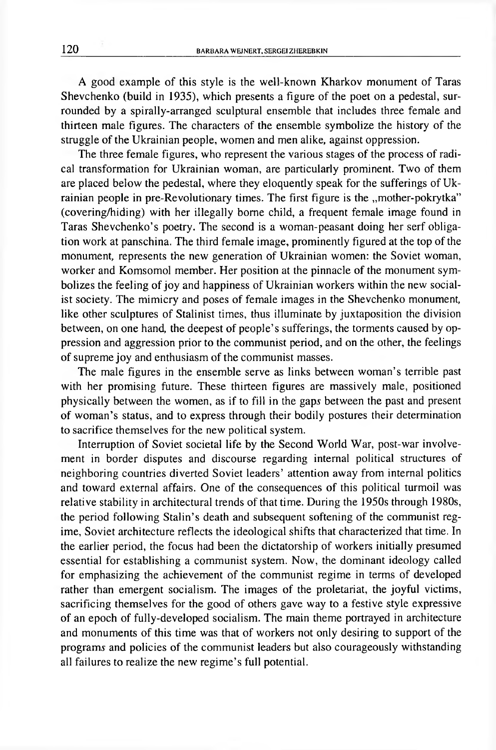A good example of this style is the well-known Kharkov monument of Taras Shevchenko (build in 1935), which presents a figure of the poet on a pedestal, surrounded by a spirally-arranged sculptural ensemble that includes three female and thirteen male figures. The characters of the ensemble symbolize the history of the struggle of the Ukrainian people, women and men alike, against oppression.

The three female figures, who represent the various stages of the process of radical transformation for Ukrainian woman, are particularly prominent. Two of them are placed below the pedestal, where they eloquently speak for the sufferings of Ukrainian people in pre-Revolutionary times. The first figure is the "mother-pokrytka" (covering/hiding) with her illegally borne child, a frequent female image found in Taras Shevchenko's poetry. The second is a woman-peasant doing her serf obligation work at panschina. The third female image, prominently figured at the top of the monument, represents the new generation of Ukrainian women: the Soviet woman, worker and Komsomol member. Her position at the pinnacle of the monument symbolizes the feeling of joy and happiness of Ukrainian workers within the new socialist society. The mimicry and poses of female images in the Shevchenko monument, like other sculptures of Stalinist times, thus illuminate by juxtaposition the division between, on one hand, the deepest of people's sufferings, the torments caused by oppression and aggression prior to the communist period, and on the other, the feelings of supreme joy and enthusiasm of the communist masses.

The male figures in the ensemble serve as links between woman's terrible past with her promising future. These thirteen figures are massively male, positioned physically between the women, as if to fill in the gaps between the past and present of woman's status, and to express through their bodily postures their determination to sacrifice themselves for the new political system.

Interruption of Soviet societal life by the Second World War, post-war involvement in border disputes and discourse regarding internal political structures of neighboring countries diverted Soviet leaders' attention away from internal politics and toward external affairs. One of the consequences of this political turmoil was relative stability in architectural trends of that time. During the 1950s through 1980s, the period following Stalin's death and subsequent softening of the communist regime, Soviet architecture reflects the ideological shifts that characterized that time. In the earlier period, the focus had been the dictatorship of workers initially presumed essential for establishing a communist system. Now, the dominant ideology called for emphasizing the achievement of the communist regime in terms of developed rather than emergent socialism. The images of the proletariat, the joyful victims, sacrificing themselves for the good of others gave way to a festive style expressive of an epoch of fully-developed socialism. The main theme portrayed in architecture and monuments of this time was that of workers not only desiring to support of the programs and policies of the communist leaders but also courageously withstanding all failures to realize the new regime's full potential.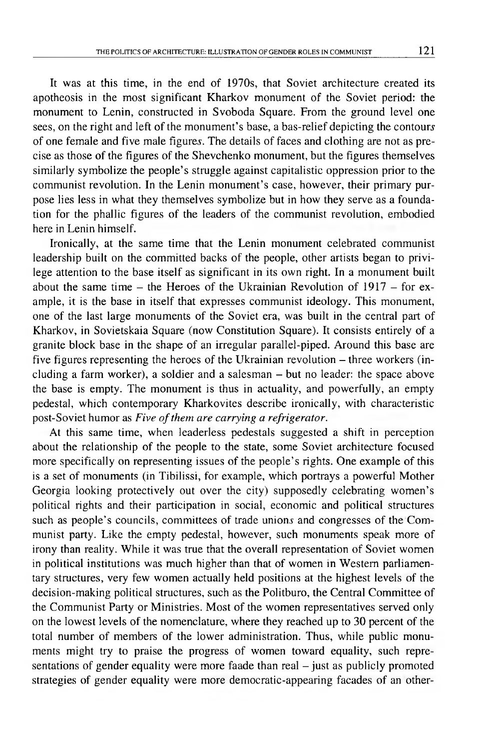It was at this time, in the end of 1970s, that Soviet architecture created its apotheosis in the most significant Kharkov monument of the Soviet period: the monument to Lenin, constructed in Svoboda Square. From the ground level one sees, on the right and left of the monument's base, a bas-relief depicting the contours of one female and five male figures. The details of faces and clothing are not as precise as those of the figures of the Shevchenko monument, but the figures themselves similarly symbolize the people's struggle against capitalistic oppression prior to the communist revolution. In the Lenin monument's case, however, their primary purpose lies less in what they themselves symbolize but in how they serve as a foundation for the phallic figures of the leaders of the communist revolution, embodied here in Lenin himself.

Ironically, at the same time that the Lenin monument celebrated communist leadership built on the committed backs of the people, other artists began to privilege attention to the base itself as significant in its own right. In a monument built about the same time  $-$  the Heroes of the Ukrainian Revolution of 1917  $-$  for example, it is the base in itself that expresses communist ideology. This monument, one of the last large monuments of the Soviet era, was built in the central part of Kharkov, in Sovietskaia Square (now Constitution Square). It consists entirely of a granite block base in the shape of an irregular parallel-piped. Around this base are five figures representing the heroes of the Ukrainian revolution – three workers (including a farm worker), a soldier and a salesman  $-$  but no leader: the space above the base is empty. The monument is thus in actuality, and powerfully, an empty pedestal, which contemporary Kharkovites describe ironically, with characteristic post-Soviet humor as *Five of them are carrying a refrigerator*.

At this same time, when leaderless pedestals suggested a shift in perception about the relationship of the people to the state, some Soviet architecture focused more specifically on representing issues of the people's rights. One example of this is a set of monuments (in Tibilissi, for example, which portrays a powerful Mother Georgia looking protectively out over the city) supposedly celebrating women's political rights and their participation in social, economic and political structures such as people's councils, committees of trade unions and congresses of the Communist party. Like the empty pedestal, however, such monuments speak more of irony than reality. While it was true that the overall representation of Soviet women in political institutions was much higher than that of women in Western parliamentary structures, very few women actually held positions at the highest levels of the decision-making political structures, such as the Politburo, the Central Committee of the Communist Party or Ministries. Most of the women representatives served only on the lowest levels of the nomenclature, where they reached up to 30 percent of the total number of members of the lower administration. Thus, while public monuments might try to praise the progress of women toward equality, such representations of gender equality were more faade than real  $-$  just as publicly promoted strategies of gender equality were more democratic-appearing facades of an other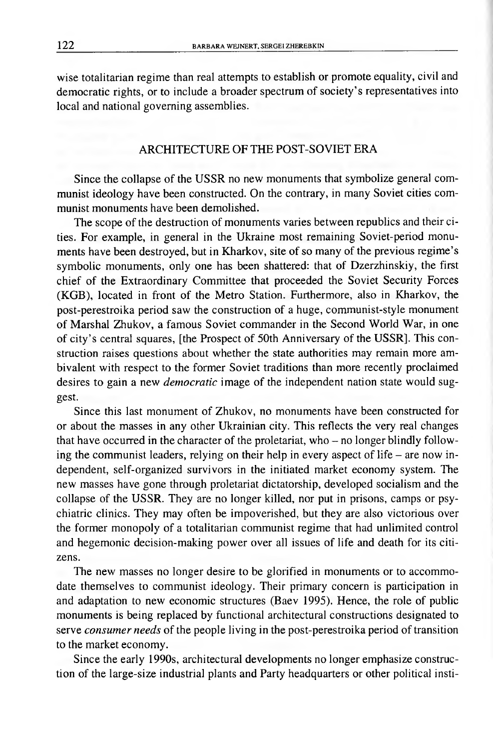wise totalitarian regime than real attempts to establish or promote equality, civil and democratic rights, or to include a broader spectrum of society's representatives into local and national governing assemblies.

#### ARCHITECTURE OF THE POST-SOVIET ERA

Since the collapse of the USSR no new monuments that symbolize general communist ideology have been constructed. On the contrary, in many Soviet cities communist monuments have been demolished.

The scope of the destruction of monuments varies between republics and their cities. For example, in general in the Ukraine most remaining Soviet-period monuments have been destroyed, but in Kharkov, site of so many of the previous regime's symbolic monuments, only one has been shattered: that of Dzerzhinskiy, the first chief of the Extraordinary Committee that proceeded the Soviet Security Forces (KGB), located in front of the Metro Station. Furthermore, also in Kharkov, the post-perestroika period saw the construction of a huge, communist-style monument of Marshal Zhukov, a famous Soviet commander in the Second World War, in one of city's central squares, [the Prospect of 50th Anniversary of the USSR]. This construction raises questions about whether the state authorities may remain more ambivalent with respect to the former Soviet traditions than more recently proclaimed desires to gain a new *democratic* image of the independent nation state would suggest.

Since this last monument of Zhukov, no monuments have been constructed for or about the masses in any other Ukrainian city. This reflects the very real changes that have occurred in the character of the proletariat, who - no longer blindly following the communist leaders, relying on their help in every aspect of life  $-$  are now independent, self-organized survivors in the initiated market economy system. The new masses have gone through proletariat dictatorship, developed socialism and the collapse of the USSR. They are no longer killed, nor put in prisons, camps or psychiatric clinics. They may often be impoverished, but they are also victorious over the former monopoly of a totalitarian communist regime that had unlimited control and hegemonic decision-making power over all issues of life and death for its citizens.

The new masses no longer desire to be glorified in monuments or to accommodate themselves to communist ideology. Their primary concern is participation in and adaptation to new economic structures (Baev 1995). Hence, the role of public monuments is being replaced by functional architectural constructions designated to serve *consumer needs* of the people living in the post-perestroika period of transition to the market economy.

Since the early 1990s, architectural developments no longer emphasize construction of the large-size industrial plants and Party headquarters or other political insti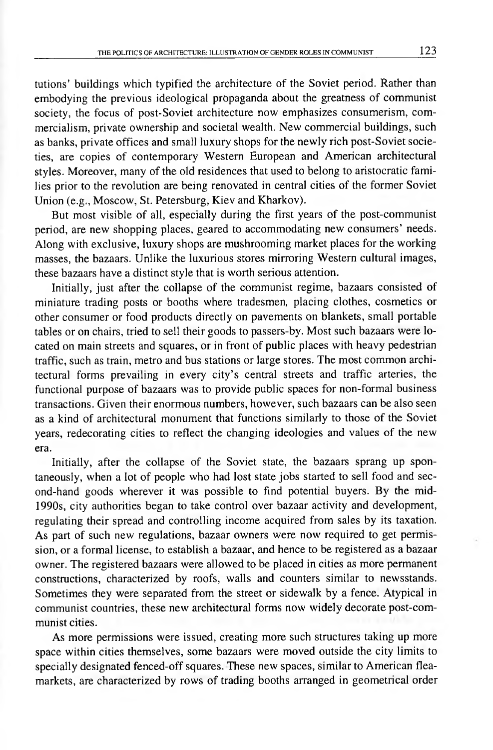tutions' buildings which typified the architecture of the Soviet period. Rather than embodying the previous ideological propaganda about the greatness of communist society, the focus of post-Soviet architecture now emphasizes consumerism, commercialism, private ownership and societal wealth. New commercial buildings, such as banks, private offices and small luxury shops for the newly rich post-Soviet societies, are copies of contemporary Western European and American architectural styles. Moreover, many of the old residences that used to belong to aristocratic families prior to the revolution are being renovated in central cities of the former Soviet Union (e.g., Moscow, St. Petersburg, Kiev and Kharkov).

But most visible of all, especially during the first years of the post-communist period, are new shopping places, geared to accommodating new consumers' needs. Along with exclusive, luxury shops are mushrooming market places for the working masses, the bazaars. Unlike the luxurious stores mirroring Western cultural images, these bazaars have a distinct style that is worth serious attention.

Initially, just after the collapse of the communist regime, bazaars consisted of miniature trading posts or booths where tradesmen, placing clothes, cosmetics or other consumer or food products directly on pavements on blankets, small portable tables or on chairs, tried to sell their goods to passers-by. Most such bazaars were located on main streets and squares, or in front of public places with heavy pedestrian traffic, such as train, metro and bus stations or large stores. The most common architectural forms prevailing in every city's central streets and traffic arteries, the functional purpose of bazaars was to provide public spaces for non-formal business transactions. Given their enormous numbers, however, such bazaars can be also seen as a kind of architectural monument that functions similarly to those of the Soviet years, redecorating cities to reflect the changing ideologies and values of the new era.

Initially, after the collapse of the Soviet state, the bazaars sprang up spontaneously, when a lot of people who had lost state jobs started to sell food and second-hand goods wherever it was possible to find potential buyers. By the mid-1990s, city authorities began to take control over bazaar activity and development, regulating their spread and controlling income acquired from sales by its taxation. As part of such new regulations, bazaar owners were now required to get permission, or a formal license, to establish a bazaar, and hence to be registered as a bazaar owner. The registered bazaars were allowed to be placed in cities as more permanent constructions, characterized by roofs, walls and counters similar to newsstands. Sometimes they were separated from the street or sidewalk by a fence. Atypical in communist countries, these new architectural forms now widely decorate post-communist cities.

As more permissions were issued, creating more such structures taking up more space within cities themselves, some bazaars were moved outside the city limits to specially designated fenced-off squares. These new spaces, similar to American fleamarkets, are characterized by rows of trading booths arranged in geometrical order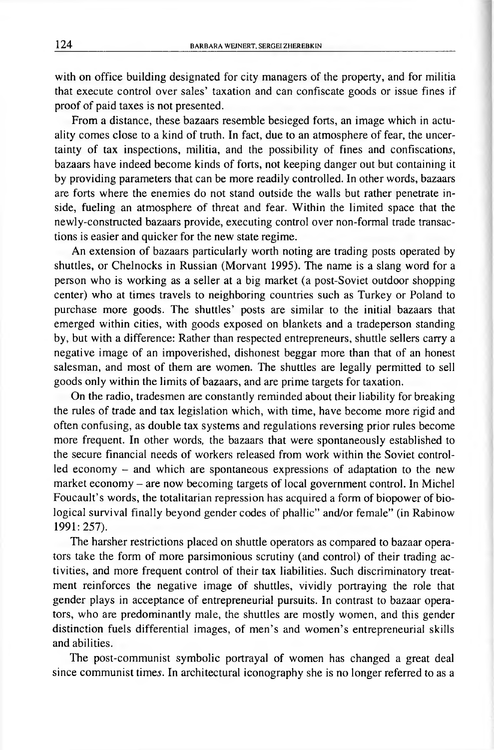with on office building designated for city managers of the property, and for militia that execute control over sales' taxation and can confiscate goods or issue fines if proof of paid taxes is not presented.

From a distance, these bazaars resemble besieged forts, an image which in actuality comes close to a kind of truth. In fact, due to an atmosphere of fear, the uncertainty of tax inspections, militia, and the possibility of fines and confiscations, bazaars have indeed become kinds of forts, not keeping danger out but containing it by providing parameters that can be more readily controlled. In other words, bazaars are forts where the enemies do not stand outside the walls but rather penetrate inside, fueling an atmosphere of threat and fear. Within the limited space that the newly-constructed bazaars provide, executing control over non-formal trade transactions is easier and quicker for the new state regime.

An extension of bazaars particularly worth noting are trading posts operated by shuttles, or Chelnocks in Russian (Morvant 1995). The name is a slang word for a person who is working as a seller at a big market (a post-Soviet outdoor shopping center) who at times travels to neighboring countries such as Turkey or Poland to purchase more goods. The shuttles' posts are similar to the initial bazaars that emerged within cities, with goods exposed on blankets and a tradeperson standing by, but with a difference: Rather than respected entrepreneurs, shuttle sellers carry a negative image of an impoverished, dishonest beggar more than that of an honest salesman, and most of them are women. The shuttles are legally permitted to sell goods only within the limits of bazaars, and are prime targets for taxation.

On the radio, tradesmen are constantly reminded about their liability for breaking the rules of trade and tax legislation which, with time, have become more rigid and often confusing, as double tax systems and regulations reversing prior rules become more frequent. In other words, the bazaars that were spontaneously established to the secure financial needs of workers released from work within the Soviet controlled economy - and which are spontaneous expressions of adaptation to the new market economy – are now becoming targets of local government control. In Michel Foucault's words, the totalitarian repression has acquired a form of biopower of biological survival finally beyond gender codes of phallic" and/or female" (in Rabinów 1991:257).

The harsher restrictions placed on shuttle operators as compared to bazaar operators take the form of more parsimonious scrutiny (and control) of their trading activities, and more frequent control of their tax liabilities. Such discriminatory treatment reinforces the negative image of shuttles, vividly portraying the role that gender plays in acceptance of entrepreneurial pursuits. In contrast to bazaar operators, who are predominantly male, the shuttles are mostly women, and this gender distinction fuels differential images, of men's and women's entrepreneurial skills and abilities.

The post-communist symbolic portrayal of women has changed a great deal since communist times. In architectural iconography she is no longer referred to as a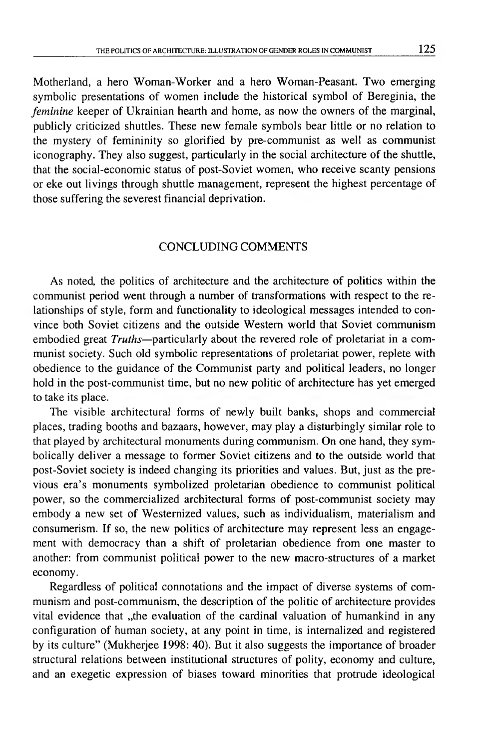Motherland, a hero Woman-Worker and a hero Woman-Peasant. Two emerging symbolic presentations of women include the historical symbol of Bereginia, the *feminine* keeper of Ukrainian hearth and home, as now the owners of the marginal, publicly criticized shuttles. These new female symbols bear little or no relation to the mystery of femininity so glorified by pre-communist as well as communist iconography. They also suggest, particularly in the social architecture of the shuttle, that the social-economic status of post-Soviet women, who receive scanty pensions or eke out livings through shuttle management, represent the highest percentage of those suffering the severest financial deprivation.

### CONCLUDING COMMENTS

As noted, the politics of architecture and the architecture of politics within the communist period went through a number of transformations with respect to the relationships of style, form and functionality to ideological messages intended to convince both Soviet citizens and the outside Western world that Soviet communism embodied great *Truths*—particularly about the revered role of proletariat in a communist society. Such old symbolic representations of proletariat power, replete with obedience to the guidance of the Communist party and political leaders, no longer hold in the post-communist time, but no new politic of architecture has yet emerged to take its place.

The visible architectural forms of newly built banks, shops and commercial places, trading booths and bazaars, however, may play a disturbingly similar role to that played by architectural monuments during communism. On one hand, they symbolically deliver a message to former Soviet citizens and to the outside world that post-Soviet society is indeed changing its priorities and values. But, just as the previous era's monuments symbolized proletarian obedience to communist political power, so the commercialized architectural forms of post-communist society may embody a new set of Westernized values, such as individualism, materialism and consumerism. If so, the new politics of architecture may represent less an engagement with democracy than a shift of proletarian obedience from one master to another: from communist political power to the new macro-structures of a market economy.

Regardless of political connotations and the impact of diverse systems of communism and post-communism, the description of the politic of architecture provides vital evidence that , the evaluation of the cardinal valuation of humankind in any configuration of human society, at any point in time, is internalized and registered by its culture" (Mukherjee 1998: 40). But it also suggests the importance of broader structural relations between institutional structures of polity, economy and culture, and an exegetic expression of biases toward minorities that protrude ideological